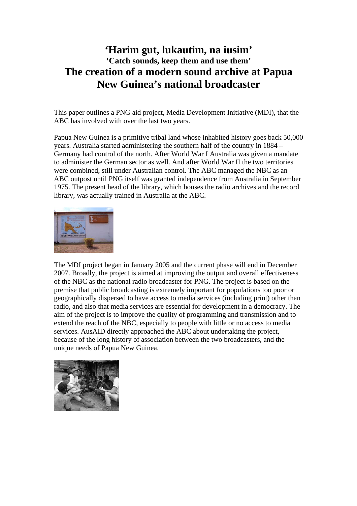# **'Harim gut, lukautim, na iusim' 'Catch sounds, keep them and use them' The creation of a modern sound archive at Papua New Guinea's national broadcaster**

This paper outlines a PNG aid project, Media Development Initiative (MDI), that the ABC has involved with over the last two years.

Papua New Guinea is a primitive tribal land whose inhabited history goes back 50,000 years. Australia started administering the southern half of the country in 1884 – Germany had control of the north. After World War I Australia was given a mandate to administer the German sector as well. And after World War II the two territories were combined, still under Australian control. The ABC managed the NBC as an ABC outpost until PNG itself was granted independence from Australia in September 1975. The present head of the library, which houses the radio archives and the record library, was actually trained in Australia at the ABC.



The MDI project began in January 2005 and the current phase will end in December 2007. Broadly, the project is aimed at improving the output and overall effectiveness of the NBC as the national radio broadcaster for PNG. The project is based on the premise that public broadcasting is extremely important for populations too poor or geographically dispersed to have access to media services (including print) other than radio, and also that media services are essential for development in a democracy. The aim of the project is to improve the quality of programming and transmission and to extend the reach of the NBC, especially to people with little or no access to media services. AusAID directly approached the ABC about undertaking the project, because of the long history of association between the two broadcasters, and the unique needs of Papua New Guinea.

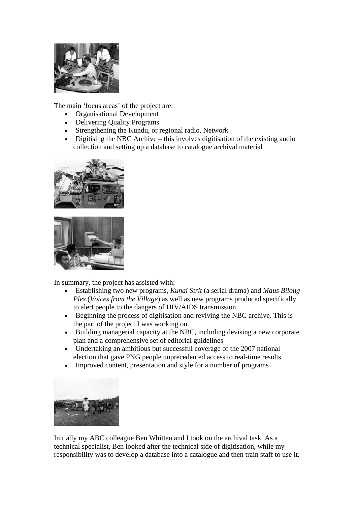

The main 'focus areas' of the project are:

- Organisational Development
- Delivering Quality Programs
- Strengthening the Kundu, or regional radio, Network
- Digitising the NBC Archive this involves digitisation of the existing audio collection and setting up a database to catalogue archival material





In summary, the project has assisted with:

- Establishing two new programs, *Kunai Strit* (a serial drama) and *Maus Bilong Ples* (*Voices from the Village*) as well as new programs produced specifically to alert people to the dangers of HIV/AIDS transmission
- Beginning the process of digitisation and reviving the NBC archive. This is the part of the project I was working on.
- Building managerial capacity at the NBC, including devising a new corporate plan and a comprehensive set of editorial guidelines
- Undertaking an ambitious but successful coverage of the 2007 national election that gave PNG people unprecedented access to real-time results
- Improved content, presentation and style for a number of programs



Initially my ABC colleague Ben Whitten and I took on the archival task. As a technical specialist, Ben looked after the technical side of digitisation, while my responsibility was to develop a database into a catalogue and then train staff to use it.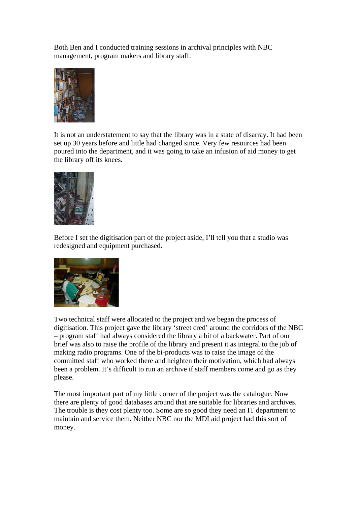Both Ben and I conducted training sessions in archival principles with NBC management, program makers and library staff.



It is not an understatement to say that the library was in a state of disarray. It had been set up 30 years before and little had changed since. Very few resources had been poured into the department, and it was going to take an infusion of aid money to get the library off its knees.



Before I set the digitisation part of the project aside, I'll tell you that a studio was redesigned and equipment purchased.



Two technical staff were allocated to the project and we began the process of digitisation. This project gave the library 'street cred' around the corridors of the NBC – program staff had always considered the library a bit of a backwater. Part of our brief was also to raise the profile of the library and present it as integral to the job of making radio programs. One of the bi-products was to raise the image of the committed staff who worked there and heighten their motivation, which had always been a problem. It's difficult to run an archive if staff members come and go as they please.

The most important part of my little corner of the project was the catalogue. Now there are plenty of good databases around that are suitable for libraries and archives. The trouble is they cost plenty too. Some are so good they need an IT department to maintain and service them. Neither NBC nor the MDI aid project had this sort of money.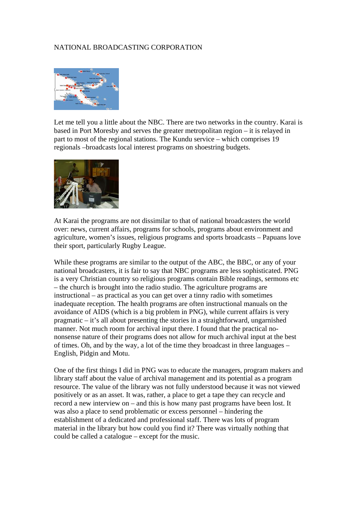### NATIONAL BROADCASTING CORPORATION



Let me tell you a little about the NBC. There are two networks in the country. Karai is based in Port Moresby and serves the greater metropolitan region – it is relayed in part to most of the regional stations. The Kundu service – which comprises 19 regionals –broadcasts local interest programs on shoestring budgets.



At Karai the programs are not dissimilar to that of national broadcasters the world over: news, current affairs, programs for schools, programs about environment and agriculture, women's issues, religious programs and sports broadcasts – Papuans love their sport, particularly Rugby League.

While these programs are similar to the output of the ABC, the BBC, or any of your national broadcasters, it is fair to say that NBC programs are less sophisticated. PNG is a very Christian country so religious programs contain Bible readings, sermons etc – the church is brought into the radio studio. The agriculture programs are instructional – as practical as you can get over a tinny radio with sometimes inadequate reception. The health programs are often instructional manuals on the avoidance of AIDS (which is a big problem in PNG), while current affairs is very pragmatic – it's all about presenting the stories in a straightforward, ungarnished manner. Not much room for archival input there. I found that the practical nononsense nature of their programs does not allow for much archival input at the best of times. Oh, and by the way, a lot of the time they broadcast in three languages – English, Pidgin and Motu.

One of the first things I did in PNG was to educate the managers, program makers and library staff about the value of archival management and its potential as a program resource. The value of the library was not fully understood because it was not viewed positively or as an asset. It was, rather, a place to get a tape they can recycle and record a new interview on – and this is how many past programs have been lost. It was also a place to send problematic or excess personnel – hindering the establishment of a dedicated and professional staff. There was lots of program material in the library but how could you find it? There was virtually nothing that could be called a catalogue – except for the music.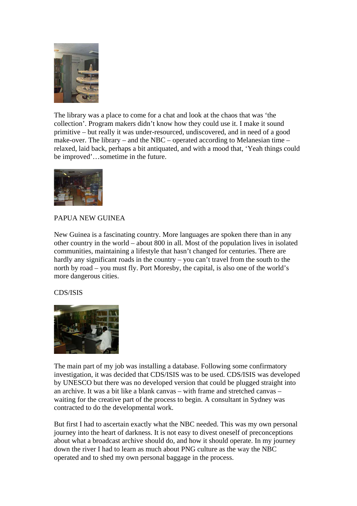

The library was a place to come for a chat and look at the chaos that was 'the collection'. Program makers didn't know how they could use it. I make it sound primitive – but really it was under-resourced, undiscovered, and in need of a good make-over. The library – and the NBC – operated according to Melanesian time – relaxed, laid back, perhaps a bit antiquated, and with a mood that, 'Yeah things could be improved'…sometime in the future.



# PAPUA NEW GUINEA

New Guinea is a fascinating country. More languages are spoken there than in any other country in the world – about 800 in all. Most of the population lives in isolated communities, maintaining a lifestyle that hasn't changed for centuries. There are hardly any significant roads in the country – you can't travel from the south to the north by road – you must fly. Port Moresby, the capital, is also one of the world's more dangerous cities.

## CDS/ISIS



The main part of my job was installing a database. Following some confirmatory investigation, it was decided that CDS/ISIS was to be used. CDS/ISIS was developed by UNESCO but there was no developed version that could be plugged straight into an archive. It was a bit like a blank canvas – with frame and stretched canvas – waiting for the creative part of the process to begin. A consultant in Sydney was contracted to do the developmental work.

But first I had to ascertain exactly what the NBC needed. This was my own personal journey into the heart of darkness. It is not easy to divest oneself of preconceptions about what a broadcast archive should do, and how it should operate. In my journey down the river I had to learn as much about PNG culture as the way the NBC operated and to shed my own personal baggage in the process.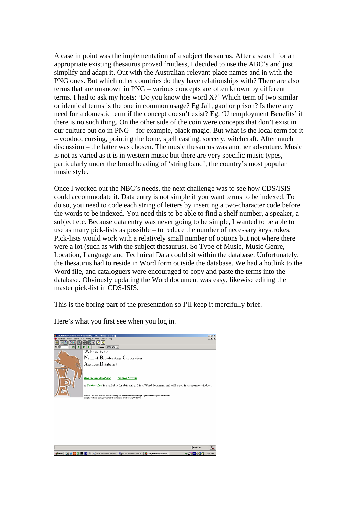A case in point was the implementation of a subject thesaurus. After a search for an appropriate existing thesaurus proved fruitless, I decided to use the ABC's and just simplify and adapt it. Out with the Australian-relevant place names and in with the PNG ones. But which other countries do they have relationships with? There are also terms that are unknown in PNG – various concepts are often known by different terms. I had to ask my hosts: 'Do you know the word X?' Which term of two similar or identical terms is the one in common usage? Eg Jail, gaol or prison? Is there any need for a domestic term if the concept doesn't exist? Eg. 'Unemployment Benefits' if there is no such thing. On the other side of the coin were concepts that don't exist in our culture but do in PNG – for example, black magic. But what is the local term for it – voodoo, cursing, pointing the bone, spell casting, sorcery, witchcraft. After much discussion – the latter was chosen. The music thesaurus was another adventure. Music is not as varied as it is in western music but there are very specific music types, particularly under the broad heading of 'string band', the country's most popular music style.

Once I worked out the NBC's needs, the next challenge was to see how CDS/ISIS could accommodate it. Data entry is not simple if you want terms to be indexed. To do so, you need to code each string of letters by inserting a two-character code before the words to be indexed. You need this to be able to find a shelf number, a speaker, a subject etc. Because data entry was never going to be simple, I wanted to be able to use as many pick-lists as possible – to reduce the number of necessary keystrokes. Pick-lists would work with a relatively small number of options but not where there were a lot (such as with the subject thesaurus). So Type of Music, Music Genre, Location, Language and Technical Data could sit within the database. Unfortunately, the thesaurus had to reside in Word form outside the database. We had a hotlink to the Word file, and cataloguers were encouraged to copy and paste the terms into the database. Obviously updating the Word document was easy, likewise editing the master pick-list in CDS-ISIS.

This is the boring part of the presentation so I'll keep it mercifully brief.

복합 **OMNOB** <u>n de la la la</u><br><mark>Id d d d la l</mark> NECPNG T Welcome to the National Broadcasting Corporation Archives Database! **Browse the database Guided Search** A Subject List is available for data entry. It is a Word document, and will open in a separate window The NBC Archives database is maintained by the National Broadcasting Corps Start | [1] & [3] [3] [ [9] M | 2 | 016 Radio - Music with De... | 80 | MICAD Reference Manual... | 20 CDS/ISIS for **BOOKBUNG** 

Here's what you first see when you log in.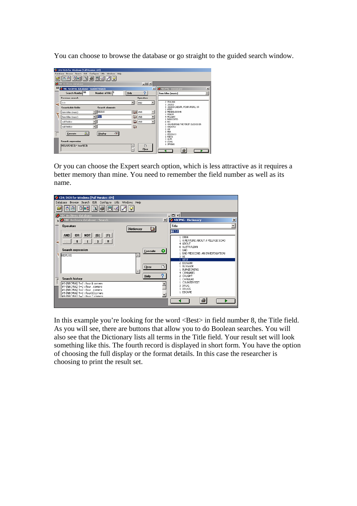You can choose to browse the database or go straight to the guided search window.



Or you can choose the Expert search option, which is less attractive as it requires a better memory than mine. You need to remember the field number as well as its name.



In this example you're looking for the word <Best> in field number 8, the Title field. As you will see, there are buttons that allow you to do Boolean searches. You will also see that the Dictionary lists all terms in the Title field. Your result set will look something like this. The fourth record is displayed in short form. You have the option of choosing the full display or the format details. In this case the researcher is choosing to print the result set.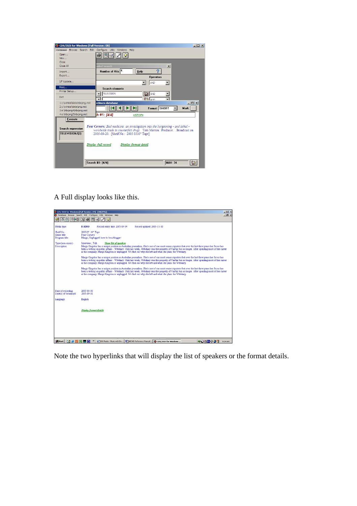| CDS/ISIS for Windows [Full Version : EN]                     |                                                                                                                                                                                                                                                          | $\Box$ D $\Box$ |
|--------------------------------------------------------------|----------------------------------------------------------------------------------------------------------------------------------------------------------------------------------------------------------------------------------------------------------|-----------------|
|                                                              | Database Browse Search Edit Configure Utils Windows Help                                                                                                                                                                                                 |                 |
| Open                                                         | 冃                                                                                                                                                                                                                                                        |                 |
| New                                                          |                                                                                                                                                                                                                                                          |                 |
| Close                                                        |                                                                                                                                                                                                                                                          |                 |
| Close All                                                    | $\vert x \vert$<br><b>Jided Search</b>                                                                                                                                                                                                                   |                 |
| Import                                                       | 2<br>Number of Hits: 4<br>Help                                                                                                                                                                                                                           |                 |
| Export                                                       | <b>Operators</b>                                                                                                                                                                                                                                         |                 |
| I/F Update                                                   | <b>AND</b>                                                                                                                                                                                                                                               |                 |
|                                                              |                                                                                                                                                                                                                                                          |                 |
| Print<br>Printer Setup                                       | <b>Search elements</b>                                                                                                                                                                                                                                   |                 |
|                                                              | <b>TELEVISION</b><br>m<br>AND                                                                                                                                                                                                                            |                 |
| Exit                                                         | <b>M</b>                                                                                                                                                                                                                                                 |                 |
| 1 c: \winisis \data \nbcpng.mst                              | $   $ $  $ $\times$ $ $<br>rchives database                                                                                                                                                                                                              |                 |
| 2 c: \winisis \data \png.mst                                 | Format: SHORT<br>Mark:                                                                                                                                                                                                                                   |                 |
| 3 e: \nbcpng4\nbcpng.mst                                     |                                                                                                                                                                                                                                                          |                 |
| 4 e: \nbcpng2\nbcpng.mst                                     | th #1: [4/4]<br><stop></stop>                                                                                                                                                                                                                            |                 |
| <b>Execute</b><br><b>Search expression</b><br>TELEVISION/(2) | Four Corners: Bad medicine: an investigation into the burgeoning - and lethal -<br>worldwide trade in counterfeit drugs. Tom Morton : Producer. Broadcast on<br>2005-09-20. [Shelf No.: 2005/3310" Tape]<br>Display full record<br>Display format detail |                 |
|                                                              | <b>MAX: 34</b><br>Search #1: [4/4]                                                                                                                                                                                                                       | ໝ               |

A Full display looks like this.



Note the two hyperlinks that will display the list of speakers or the format details.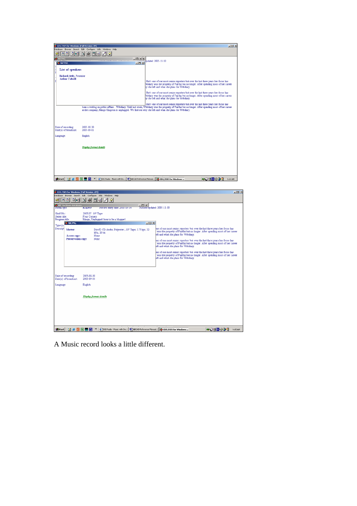| CDS/ISIS for Windows [Full Version : EN]   |                                                          |                                                                                                                                                                                                                                                                                                                                                    | $-10x$             |
|--------------------------------------------|----------------------------------------------------------|----------------------------------------------------------------------------------------------------------------------------------------------------------------------------------------------------------------------------------------------------------------------------------------------------------------------------------------------------|--------------------|
|                                            | Database Browse Search Edit Configure Utils Windows Help |                                                                                                                                                                                                                                                                                                                                                    |                    |
| 鼎<br>0 <sub>e</sub>                        | 画<br>Γà<br>O<br>E                                        |                                                                                                                                                                                                                                                                                                                                                    |                    |
| <b>SCPNG</b>                               |                                                          | <b>니미</b> 지지                                                                                                                                                                                                                                                                                                                                       |                    |
| <b>SO NBCPNG</b>                           |                                                          | Dipodated: 2005-11-10                                                                                                                                                                                                                                                                                                                              |                    |
| <b>List of speakers</b><br>ř               |                                                          |                                                                                                                                                                                                                                                                                                                                                    |                    |
| <b>Richard Aedy</b> , Presenter            |                                                          |                                                                                                                                                                                                                                                                                                                                                    |                    |
| <b>Arthur Calvell</b>                      |                                                          | She's one of our most serior reporters but over the last three years her focus has<br>ebdiary was the property of Fairfax but no longer. After spending most of her career<br>by she left and what she plans for Webdiary.                                                                                                                         |                    |
|                                            |                                                          | She's one of our most senior reporters but over the last three years her focus has<br>ebdiary was the property of Fairfax but no longer. After spending most of her career<br>iv she left and what she plans for Webdiary.                                                                                                                         |                    |
|                                            |                                                          | She's one of our most senior reporters but over the last three years her focus has<br>been a weblog on public affairs - Webdiary. Until last week, Webdiary was the property of Fairfax but no longer. After spending most of her career<br>at the company, Margo Kingston is unplugged. We find out why she left and what she plans for Webdiary. |                    |
| Date of recording<br>Date s) of broadcast: | 2005-08-30<br>2005-09-01                                 |                                                                                                                                                                                                                                                                                                                                                    |                    |
| Language:                                  | English                                                  |                                                                                                                                                                                                                                                                                                                                                    |                    |
|                                            |                                                          |                                                                                                                                                                                                                                                                                                                                                    |                    |
|                                            | Display format details                                   |                                                                                                                                                                                                                                                                                                                                                    |                    |
|                                            |                                                          |                                                                                                                                                                                                                                                                                                                                                    |                    |
|                                            |                                                          |                                                                                                                                                                                                                                                                                                                                                    |                    |
|                                            |                                                          |                                                                                                                                                                                                                                                                                                                                                    |                    |
| <b>Bistart</b> [13]<br> 3  図               | <b>W</b>                                                 | P   DIG Radio - Music with De   2   MICAD Reference Manual   2 CDS/ISIS for Windows                                                                                                                                                                                                                                                                | ■○時間帯の口<br>9:04 AM |



A Music record looks a little different.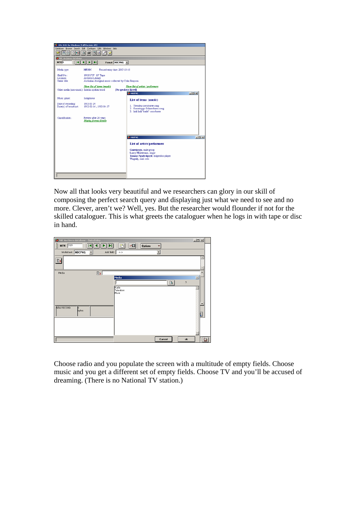| C CDS/ISIS for Windows [Full Version : EN]<br>高高<br><b>XX NBC Archives database</b><br><b>MFN</b> <sub>6</sub><br>Media type | Database Browse Search Edit Configure Utils Windows Help<br>00000000<br><b>MISIC</b>                         | Format: NBCPNG<br>Record entry date: 2005-10-10 |                                                                                                                                                    |                  |
|------------------------------------------------------------------------------------------------------------------------------|--------------------------------------------------------------------------------------------------------------|-------------------------------------------------|----------------------------------------------------------------------------------------------------------------------------------------------------|------------------|
| Shelf No.:<br>Location:<br>Series title:                                                                                     | 1983/1737 10" Tape<br>Archives Library<br>Australian aboriginal music collected by Colin Simpson             |                                                 |                                                                                                                                                    |                  |
| Other media (non-music): Interim spoken word                                                                                 | <b>Show list of items (music)</b>                                                                            | [No speakers listed]                            | <b>Show list of artists / performers</b><br><b>CONBEPNG</b>                                                                                        | $  D $ $x $      |
| Music genre:<br>Date of recording<br>Date(s) of broadcast:<br>Classification:                                                | Indigenous<br>1983-01-24<br>1982-02-16: 1983-04-27<br>Review after 20 years<br><b>Display format details</b> |                                                 | <b>List of items (music)</b><br>1. Yiwadya corroboree song<br>2. Gunwinygu Gulawubarra song<br>3. Indi Indi "trade" corroboree                     |                  |
|                                                                                                                              |                                                                                                              |                                                 | <b>SA NBCPNG</b>                                                                                                                                   | $ \Box$ $\times$ |
|                                                                                                                              |                                                                                                              |                                                 | <b>List of artists/performers</b><br>Gunwinygu, male group<br>Larry Maruwana, singer<br>Tommy Ngadyalgayd, didgeridoo player<br>Wogaiti, male solo |                  |

Now all that looks very beautiful and we researchers can glory in our skill of composing the perfect search query and displaying just what we need to see and no more. Clever, aren't we? Well, yes. But the researcher would flounder if not for the skilled cataloguer. This is what greets the cataloguer when he logs in with tape or disc in hand.



Choose radio and you populate the screen with a multitude of empty fields. Choose music and you get a different set of empty fields. Choose TV and you'll be accused of dreaming. (There is no National TV station.)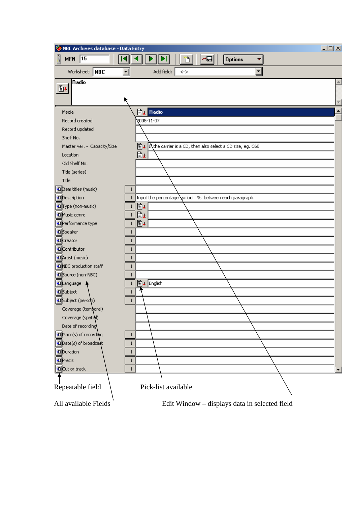| NBC Archives database - Data Entry |                                                                       | $-10X$           |
|------------------------------------|-----------------------------------------------------------------------|------------------|
| ŧ<br>MFN $\sqrt{15}$               | 'n<br>╭⊟<br>ÞI.<br><b>Options</b><br>P<br>▼                           |                  |
| Worksheet:   NBC                   | $\blacktriangledown$<br>$\mathbf{r}$<br>Add field:<br>$\dotsc$        |                  |
| Radio<br>$\mathbb{B}$              |                                                                       |                  |
| Media                              | <b>By</b> Radio                                                       | $\blacktriangle$ |
| Record created                     | 2005-11-07                                                            |                  |
| Record updated                     |                                                                       |                  |
| Shelf No.                          |                                                                       |                  |
| Master ver. - Capacity/Size        | 圖±<br>In the carrier is a CD, then also select a CD size, eg. C60     |                  |
| Location                           | ₿₽                                                                    |                  |
| Old Shelf No.                      |                                                                       |                  |
| Title (series)                     |                                                                       |                  |
| Title                              |                                                                       |                  |
| <b>D</b> Item titles (music)       | $\mathbf{1}$                                                          |                  |
| <b>ID</b> escription               | Input the percentage symbol % between each paragraph.<br>$\mathbf{1}$ |                  |
| <b>IQType (non-music)</b>          | B± <br>$\mathbf{1}$                                                   |                  |
| <b>ID</b> Music genre              | 圖±<br>$\mathbf{1}$                                                    |                  |
| <b>O</b> Performance type          | ₿₽<br>1                                                               |                  |
| <b>ID</b> Speaker                  | $\mathbf{1}$                                                          |                  |
| <b>ID</b> Creator                  | 1                                                                     |                  |
| <b>Va</b> Contributor              | $\mathbf{1}$                                                          |                  |
| 40 Artist (music)                  | $\mathbf{1}$                                                          |                  |
| <b>ID</b> NBC production staff     | $\mathbf{1}$                                                          |                  |
| <b>D</b> Source (non-NBC)          | $\mathbf{1}$                                                          |                  |
| <b>40</b> Language                 | <b>■▲</b> English<br>1                                                |                  |
| <b>D</b> Subject                   | 1                                                                     |                  |
| OSubject (person)                  | $\mathbf{1}$                                                          |                  |
| Coverage (temporal)                |                                                                       |                  |
| Coverage (spatibl)                 |                                                                       |                  |
| Date of recording                  |                                                                       |                  |
| <b>D</b> Place(s) of recording     | $\mathbf{1}$                                                          |                  |
| <b>D</b> ate(s) of broadcast       | $\mathbf{1}$                                                          |                  |
| <b>ID</b> uration                  | 1                                                                     |                  |
| <b>ID</b> Precis                   | 1                                                                     |                  |
| <b>ID</b> Cut or track             | $\mathbf{1}$                                                          |                  |
| Repeatable field                   | Pick-list available                                                   |                  |
| All available Fields               | Edit Window - displays data in selected field                         |                  |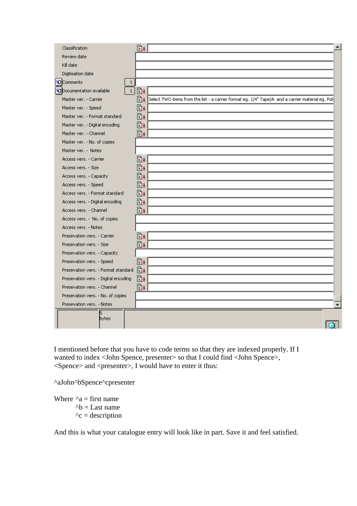|                                                                                                                            | ▲ |
|----------------------------------------------------------------------------------------------------------------------------|---|
| B±<br>Classification                                                                                                       |   |
| Review date                                                                                                                |   |
| Kill date                                                                                                                  |   |
| Digitisation date                                                                                                          |   |
| <b>O</b> Comments<br>$\mathbf{1}$                                                                                          |   |
| 圖±<br>$\mathbf{1}$<br><b>Documentation available</b>                                                                       |   |
| Select TWO items from the list - a carrier format eg. 1/4" Tape/A and a carrier material eg. Pol:<br>Master ver. - Carrier |   |
| B±<br>Master ver. - Speed                                                                                                  |   |
| 勖±<br>Master ver. - Format standard                                                                                        |   |
| B±<br>Master ver. - Digital encoding                                                                                       |   |
| B±<br>Master ver. - Channel                                                                                                |   |
| Master ver. - No. of copies                                                                                                |   |
| Master ver. - Notes                                                                                                        |   |
| ③±<br>Access vers. - Carrier                                                                                               |   |
| 勖±<br>Access vers. - Size                                                                                                  |   |
| B±<br>Access vers. - Capacity                                                                                              |   |
| 勖±<br>Access vers. - Speed                                                                                                 |   |
| 勖±<br>Access vers. - Format standard                                                                                       |   |
| Bı<br>Access vers. - Digital encoding                                                                                      |   |
| 圖±<br>Access vers. - Channel                                                                                               |   |
| Access vers. - No. of copies                                                                                               |   |
| Access vers. - Notes                                                                                                       |   |
| 圖±<br>Presevation vers. - Carrier                                                                                          |   |
| ₿₽<br>Presevation vers. - Size                                                                                             |   |
| Presevation vers. - Capacity                                                                                               |   |
| 圖±<br>Presevation vers. - Speed                                                                                            |   |
| 圖±<br>Presevation vers. - Format standard                                                                                  |   |
| 圖±<br>Presevation vers. - Digital encoding                                                                                 |   |
| B±<br>Presevation vers. - Channel                                                                                          |   |
| Presevation vers. - No. of copies                                                                                          |   |
| Presevation vers. - Notes                                                                                                  |   |
|                                                                                                                            |   |
| bytes                                                                                                                      |   |

I mentioned before that you have to code terms so that they are indexed properly. If I wanted to index <John Spence, presenter> so that I could find <John Spence>,  $\leq$ Spence> and  $\leq$ presenter>, I would have to enter it thus:

^aJohn^bSpence^cpresenter

Where  $\Delta a =$  first name  $\Delta b =$ Last name  $\lambda$ c = description

And this is what your catalogue entry will look like in part. Save it and feel satisfied.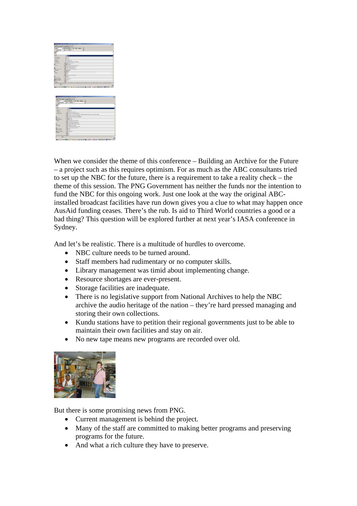|                                        |                    |                            |                                             |                             | $\rightarrow$  |
|----------------------------------------|--------------------|----------------------------|---------------------------------------------|-----------------------------|----------------|
|                                        | <b>MENSHOWNAY</b>  |                            |                                             |                             |                |
| $\frac{1}{2}$                          | $(1000 - 1000)$    | $-44$                      | $-1$                                        |                             |                |
|                                        | ъ<br><b>ARTIST</b> |                            | з                                           |                             |                |
|                                        |                    |                            |                                             |                             |                |
|                                        |                    |                            |                                             |                             |                |
| <br>$\overline{\phantom{a}}$           | ٠                  |                            |                                             |                             |                |
| <b>Marineson</b>                       |                    |                            |                                             |                             |                |
| <b>Scoredard</b>                       |                    |                            |                                             |                             |                |
| <b>MAY</b>                             |                    |                            |                                             |                             |                |
| <b>Carry Corp.</b><br><b>Parents</b>   | ū.                 | u                          |                                             |                             |                |
| <b>Service</b>                         |                    |                            |                                             |                             |                |
|                                        | ø                  |                            |                                             |                             |                |
| $-$                                    |                    | MAGIC                      |                                             |                             |                |
|                                        | 臦                  |                            |                                             |                             |                |
|                                        |                    | <b>Carlos</b>              |                                             |                             |                |
| <b>House</b>                           | P                  |                            |                                             |                             |                |
|                                        |                    |                            |                                             |                             |                |
| m                                      | ÷.                 |                            |                                             |                             |                |
|                                        |                    | $\frac{1}{2}$              |                                             |                             |                |
|                                        | B                  |                            |                                             |                             |                |
| <b>INFORMATION</b>                     |                    |                            |                                             |                             |                |
| <b>Sherifford</b><br><b>Providence</b> | 豌<br>ш             |                            |                                             |                             |                |
| <b>Dom</b>                             |                    |                            |                                             |                             |                |
|                                        |                    | <b>MILARCIA MILARE DIE</b> |                                             | <b>High Model In Ap Top</b> | $-11$<br>÷a    |
| ы                                      |                    |                            |                                             |                             |                |
| T                                      |                    |                            | SHERE EXC 1 DECEMBER 2014 12: 2020 TERMINER |                             | $-1$           |
|                                        |                    |                            |                                             |                             |                |
|                                        |                    |                            |                                             |                             | 45.9<br>$-0.0$ |
|                                        |                    |                            |                                             |                             |                |
| an F                                   | <b>SHIP STANDS</b> | 144                        | <b>Service</b>                              |                             |                |
|                                        | <b>MEDIA</b>       |                            |                                             |                             |                |
| <b>Antiquity</b>                       | x                  | <b>ARTIST</b>              |                                             |                             |                |
|                                        |                    |                            |                                             |                             |                |
|                                        |                    |                            |                                             |                             |                |
| $-$                                    | ÷                  |                            |                                             |                             |                |
| <b>MARKET</b>                          |                    |                            |                                             |                             |                |
| <b>Lating</b>                          |                    |                            |                                             |                             |                |
| <b>MONEY</b>                           |                    |                            |                                             |                             |                |
| <b>We derived</b>                      | u                  |                            |                                             | late to buy Parent          |                |
|                                        |                    |                            |                                             |                             |                |
|                                        |                    |                            |                                             |                             |                |
|                                        | ы                  | gil                        |                                             |                             |                |
|                                        | ×                  | Ħ,<br>m                    |                                             |                             |                |
|                                        |                    |                            |                                             |                             |                |
|                                        | Ë                  | $-1$                       |                                             |                             |                |
|                                        | 글                  | in nei<br>77.757           |                                             |                             |                |
|                                        |                    |                            |                                             |                             |                |
|                                        |                    | <b>Contractor</b>          |                                             |                             |                |
|                                        |                    |                            |                                             |                             |                |
|                                        | ÷                  |                            |                                             |                             |                |
| <b>STATISTICS</b>                      |                    |                            |                                             |                             |                |
|                                        | <b>System</b>      |                            |                                             |                             |                |
|                                        | ŧ                  |                            |                                             |                             |                |

When we consider the theme of this conference – Building an Archive for the Future – a project such as this requires optimism. For as much as the ABC consultants tried to set up the NBC for the future, there is a requirement to take a reality check – the theme of this session. The PNG Government has neither the funds nor the intention to fund the NBC for this ongoing work. Just one look at the way the original ABCinstalled broadcast facilities have run down gives you a clue to what may happen once AusAid funding ceases. There's the rub. Is aid to Third World countries a good or a bad thing? This question will be explored further at next year's IASA conference in Sydney.

And let's be realistic. There is a multitude of hurdles to overcome.

- NBC culture needs to be turned around.
- Staff members had rudimentary or no computer skills.
- Library management was timid about implementing change.
- Resource shortages are ever-present.
- Storage facilities are inadequate.
- There is no legislative support from National Archives to help the NBC archive the audio heritage of the nation – they're hard pressed managing and storing their own collections.
- Kundu stations have to petition their regional governments just to be able to maintain their own facilities and stay on air.
- No new tape means new programs are recorded over old.



But there is some promising news from PNG.

- Current management is behind the project.
- Many of the staff are committed to making better programs and preserving programs for the future.
- And what a rich culture they have to preserve.